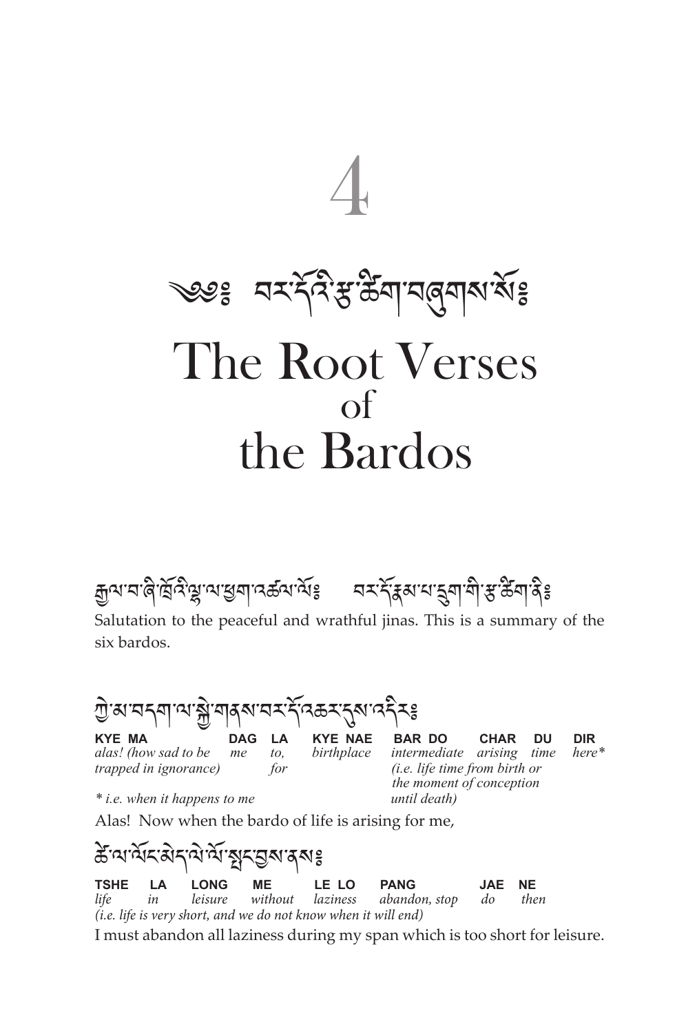

ক্সিন প্ৰত্ন বৃদ্ধের অক্ষেত্র বিষ্ট্রেশ বিষ্টি বিষ্টি বিষ্টি বিষ্টি বিষ্টি বিষ্ট বিষ্টি বিষ্টি বিষ Salutation to the peaceful and wrathful jinas. This is a summary of the

six bardos.

শ্ৰী'ৰ্ম'নন্মা'ম'ক্লী'মাৰ্ম'নন্দ'ৰ্মক্ৰম'ন্ম'ন্দৰ বিষ্ণালয়<br>KYE MA DAG LA KYE NAE BAR DO

**KYE MA DAG LA KYE NAE BAR DO CHAR DU DIR** alas! (how sad to be me to, birthplace intermediate arising time here\* *alas!* (how sad to be me to, birthplace intermediate arising time trapped in ignorance) for  $(i.e.$  life time from birth or *the for for i.e. life time from birth or* 

*\* i.e. when it happens to me until death)*

 *the moment of conception* 

Alas! Now when the bardo of life is arising for me,

ऊँ য'র্মর ইন্মার্মার্মুর ইন্মর ইন্ড<br>TSHE LA LONG ME LELO **TSHE LA LONG ME LE LO PANG JAE NE** *life in leisure without laziness abandon, stop do then (i.e. life is very short, and we do not know when it will end)* I must abandon all laziness during my span which is too short for leisure.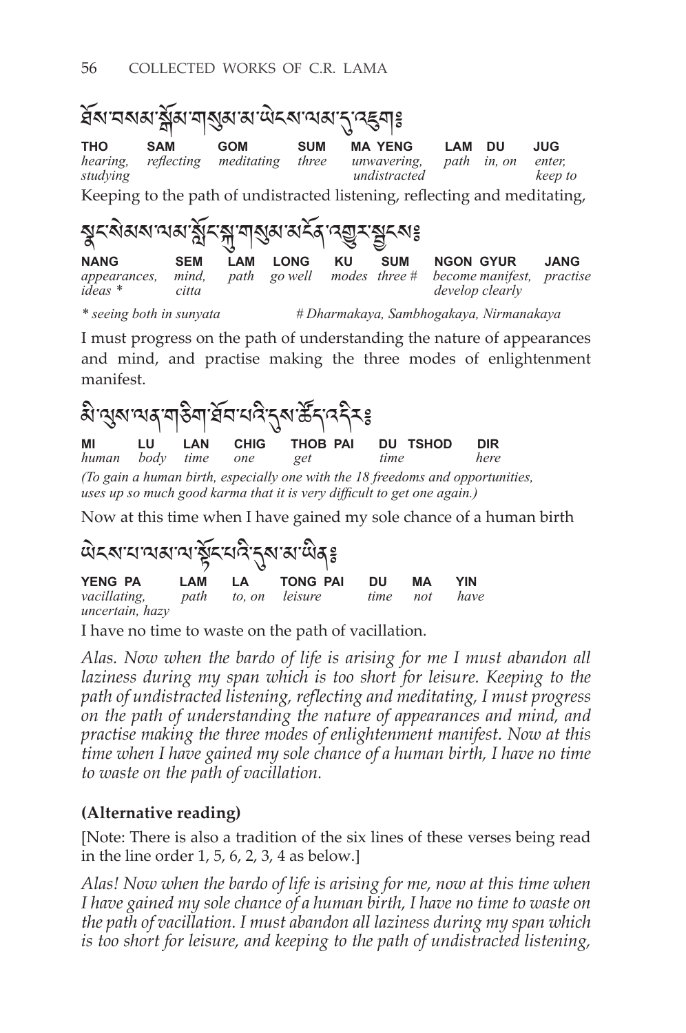

I must progress on the path of understanding the nature of appearances and mind, and practise making the three modes of enlightenment manifest.

མི་ལུས་ལན་གཅིག་ཐོབ་པའི་དུས་ཚོད་འདིར༔ **MI LU LAN CHIG THOB-PAI DU-TSHOD DIR**<br>human body time one get time here *human body time one get time here (To gain a human birth, especially one with the 18 freedoms and opportunities, uses up so much good karma that it is very difficult to get one again.)*

Now at this time when I have gained my sole chance of a human birth

| YENG PAN LAM LA TONG PAI<br>vacillating, path to, on leisure<br>uncertain, hazy |  |  |  | DU<br>time not | MА | YIN<br>have |  |
|---------------------------------------------------------------------------------|--|--|--|----------------|----|-------------|--|

I have no time to waste on the path of vacillation.

*Alas. Now when the bardo of life is arising for me I must abandon all*  laziness during my span which is too short for leisure. Keeping to the *path of undistracted listening, reflecting and meditating, I must progress on the path of understanding the nature of appearances and mind, and practise making the three modes of enlightenment manifest. Now at this time when I have gained my sole chance of a human birth, I have no time to waste on the path of vacillation.*

#### **(Alternative reading)**

[Note: There is also a tradition of the six lines of these verses being read in the line order 1, 5, 6, 2, 3, 4 as below.]

*Alas! Now when the bardo of life is arising for me, now at this time when I have gained my sole chance of a human birth, I have no time to waste on the path of vacillation. I must abandon all laziness during my span which is too short for leisure, and keeping to the path of undistracted listening,*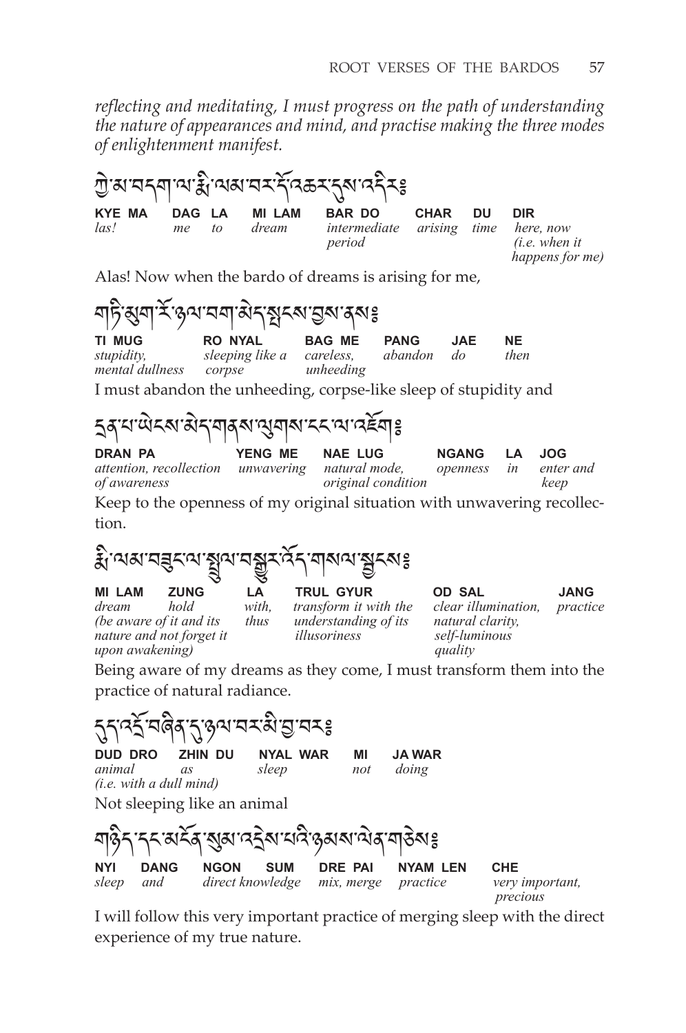*reflecting and meditating, I must progress on the path of understanding the nature of appearances and mind, and practise making the three modes of enlightenment manifest.*



Alas! Now when the bardo of dreams is arising for me,

নচিপ্ৰনাৰ উপনালন আৰু স্বীক্ষা কৰা হয়।<br>মাজ্য সংকল সংকল স্বীক্ষা হয়। **TI MUG RO NYAL BAG ME PANG JAE NE**<br>stupidity, sleeping like a careless, abandon do then

*sleeping like a careless, corpse unheeding*  $m$ *ental dullness* corpse

I must abandon the unheeding, corpse-like sleep of stupidity and

# དྲན་པ་ཡེངས་མེད་གནས་ལུགས་ངང་ལ་འཇོག༔

**dran pa yeng me nae lug ngang la jog** *attention, recollection unwavering natural mode, openness in enter and*   $original$  *condition* 

Keep to the openness of my original situation with unwavering recollection.

རྨི ་ལམ་བཟུང་ལ་སྤྲུལ་བསྒྱུར་འོད་གསལ་སྦྱངས༔

**mi lam zung la trul gyur od sal jang** *(be aware of it and its thus understanding of its natural clarity, nature and not forget it illusoriness self-luminous upon awakening) quality*

*dream hold with, transform it with the clear illumination, practice* 

Being aware of my dreams as they come, I must transform them into the practice of natural radiance.



I will follow this very important practice of merging sleep with the direct experience of my true nature.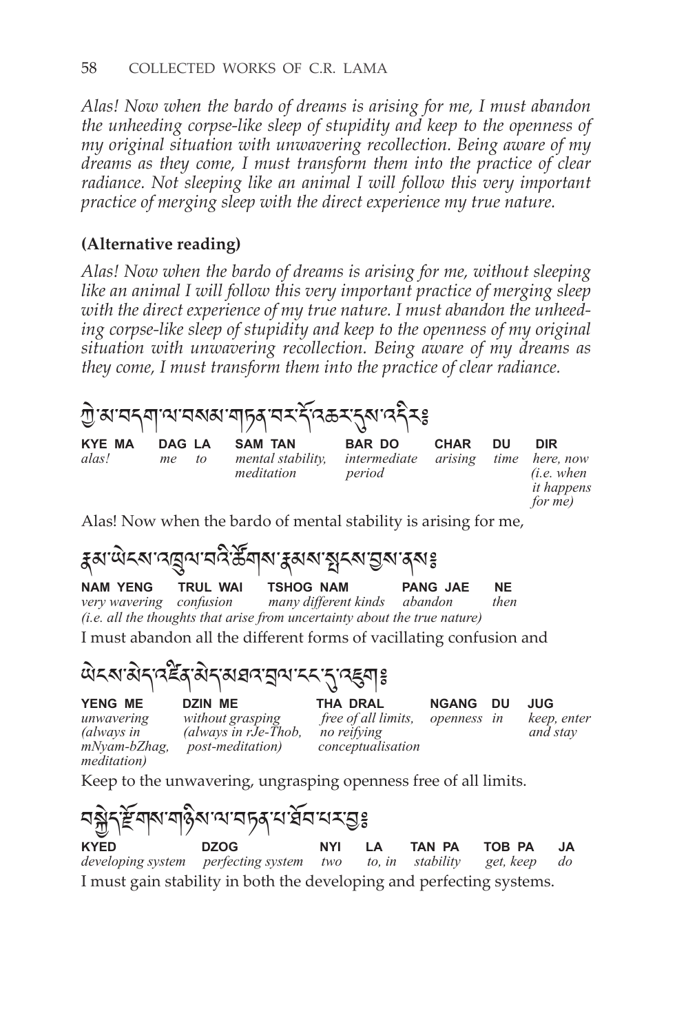*Alas! Now when the bardo of dreams is arising for me, I must abandon the unheeding corpse-like sleep of stupidity and keep to the openness of my original situation with unwavering recollection. Being aware of my dreams as they come, I must transform them into the practice of clear*  radiance. Not sleeping like an animal I will follow this very important *practice of merging sleep with the direct experience my true nature.*

## **(Alternative reading)**

*Alas! Now when the bardo of dreams is arising for me, without sleeping like an animal I will follow this very important practice of merging sleep with the direct experience of my true nature. I must abandon the unheeding corpse-like sleep of stupidity and keep to the openness of my original situation with unwavering recollection. Being aware of my dreams as they come, I must transform them into the practice of clear radiance.*



Alas! Now when the bardo of mental stability is arising for me,

རྣམ་ཡེངས་འཁྲུལ་བའི་ཚོགས་རྣམས་སྤངས་བྱས་ནས༔

**TSHOG NAM PANG JAE NE**<br>many different kinds abandon then *very wavering confusion (i.e. all the thoughts that arise from uncertainty about the true nature)* I must abandon all the different forms of vacillating confusion and

ཡེངས་མེད་འཛིན་མེད་མཐའ་བྲལ་ངང་དུ་འཇུག༔

*meditation)* 

**yeng me dzin me tha dral ngang du jug** *mNyam-bZhag, post-meditation) conceptualisation* 

*unwavering without grasping free of all limits, openness in keep, enter (always in (always in rJe-Thob, no reifying and stay*

Keep to the unwavering, ungrasping openness free of all limits.

$$
\begin{array}{ll}\n\text{Ric} & \text{Ric} \\
\text{Ric} & \text{Ric} \\
\text{Ric} & \text{Ric} \\
\text{Ric} & \text{Ric} \\
\text{Ric} & \text{Ric} \\
\text{Ric} & \text{Ric} \\
\text{Ric} & \text{Ric} \\
\text{Ric} & \text{Ric} \\
\text{Ric} & \text{Ric} \\
\text{Ric} & \text{Ric} \\
\text{Ric} & \text{Ric} \\
\text{Ric} & \text{Ric} \\
\text{Ric} & \text{Ric} \\
\text{Ric} & \text{Ric} \\
\text{Ric} & \text{Ric} \\
\text{Ric} & \text{Ric} \\
\text{Ric} & \text{Ric} \\
\text{Ric} & \text{Ric} \\
\text{Ric} & \text{Ric} \\
\text{Ric} & \text{Ric} \\
\text{Ric} & \text{Ric} \\
\text{Ric} & \text{Ric} \\
\text{Ric} & \text{Ric} \\
\text{Ric} & \text{Ric} \\
\text{Ric} & \text{Ric} \\
\text{Ric} & \text{Ric} \\
\text{Ric} & \text{Ric} \\
\text{Ric} & \text{Ric} \\
\text{Ric} & \text{Ric} \\
\text{Ric} & \text{Ric} \\
\text{Ric} & \text{Ric} \\
\text{Ric} & \text{Ric} \\
\text{Ric} & \text{Ric} \\
\text{Ric} & \text{Ric} \\
\text{Ric} & \text{Ric} \\
\text{Ric} & \text{Ric} \\
\text{Ric} & \text{Ric} \\
\text{Ric} & \text{Ric} \\
\text{Ric} & \text{Ric} \\
\text{Ric} & \text{Ric} \\
\text{Ric} & \text{Ric} \\
\text{Ric} & \text{Ric} \\
\text{Ric} & \text{Ric} \\
\text{Ric} & \text{Ric} \\
\text{Ric} & \text{Ric} \\
\text{Ric} & \text{Ric} \\
\text{Ric} & \text{Ric} \\
$$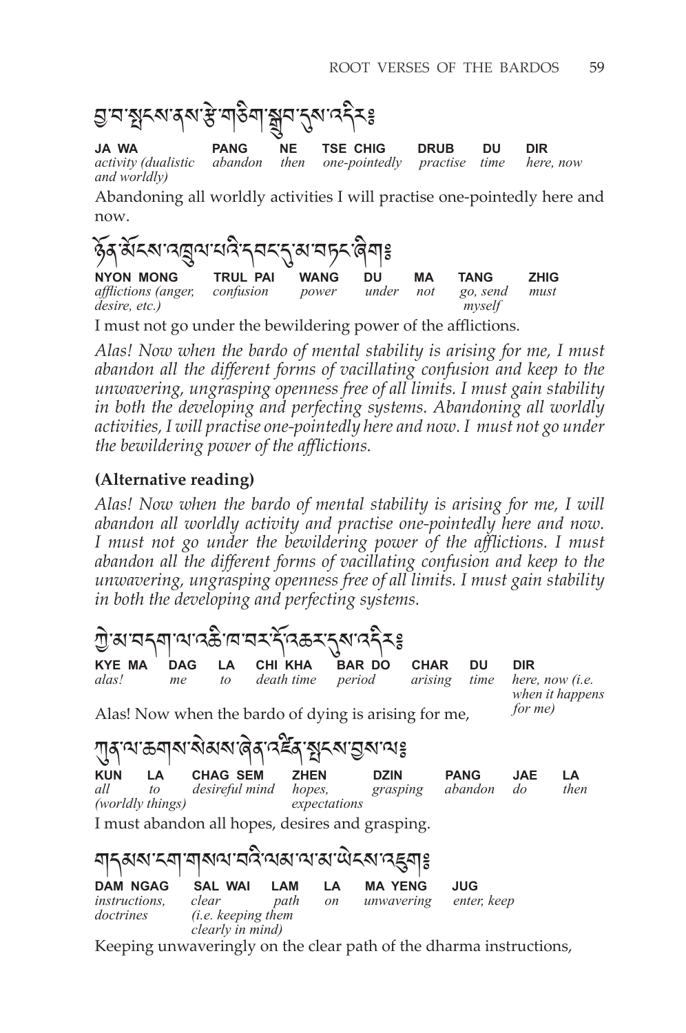



Abandoning all worldly activities I will practise one-pointedly here and now.



I must not go under the bewildering power of the afflictions.

*Alas! Now when the bardo of mental stability is arising for me, I must abandon all the different forms of vacillating confusion and keep to the unwavering, ungrasping openness free of all limits. I must gain stability in both the developing and perfecting systems. Abandoning all worldly activities, I will practise one-pointedly here and now. I must not go under the bewildering power of the afflictions.*

#### **(Alternative reading)**

*Alas! Now when the bardo of mental stability is arising for me, I will abandon all worldly activity and practise one-pointedly here and now. I must not go under the bewildering power of the afflictions. I must abandon all the different forms of vacillating confusion and keep to the unwavering, ungrasping openness free of all limits. I must gain stability in both the developing and perfecting systems.*



I must abandon all hopes, desires and grasping.

| <u>য়</u> ঀ৶৶ৼয়৾৻য়৾৶৻য়ড়ড়ৢ৻ড়৸ড়৻ড়৻ড়৻ড়৻ড়৻    |                                                                    |             |                     |                              |                    |  |
|------------------------------------------------------|--------------------------------------------------------------------|-------------|---------------------|------------------------------|--------------------|--|
| <b>DAM NGAG</b><br><i>instructions.</i><br>doctrines | <b>SAL WAI</b><br>clear<br>(i.e. keeping them)<br>clearly in mind) | LAM<br>path | LA<br><sub>on</sub> | <b>MA YENG</b><br>unwavering | JUG<br>enter, keep |  |

Keeping unwaveringly on the clear path of the dharma instructions,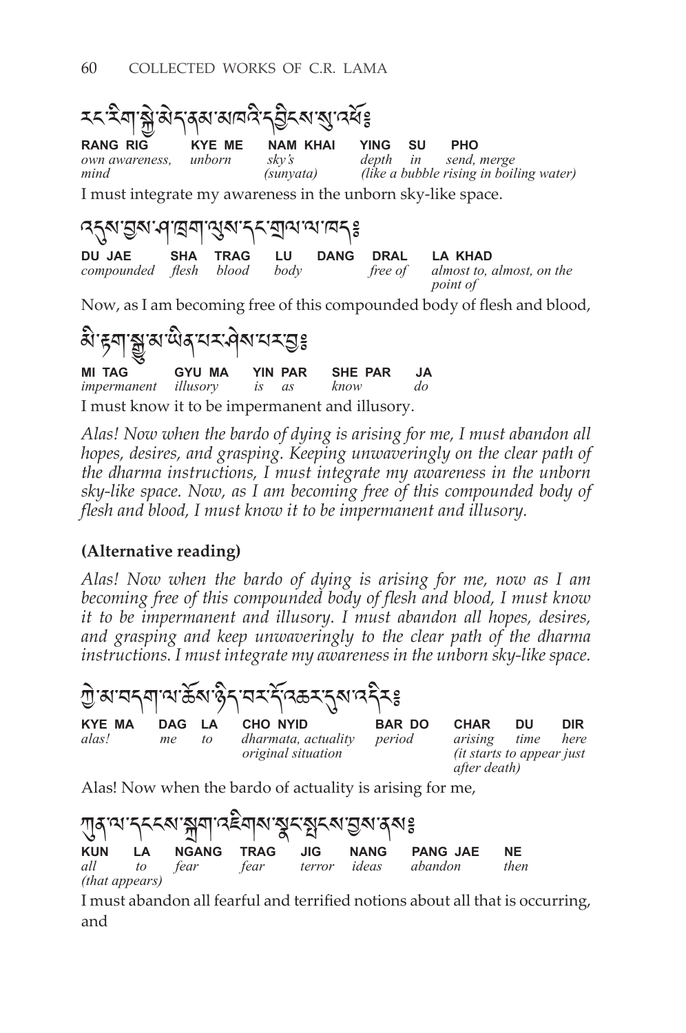

Now, as I am becoming free of this compounded body of flesh and blood,



*Alas! Now when the bardo of dying is arising for me, I must abandon all hopes, desires, and grasping. Keeping unwaveringly on the clear path of the dharma instructions, I must integrate my awareness in the unborn sky-like space. Now, as I am becoming free of this compounded body of flesh and blood, I must know it to be impermanent and illusory.*

## **(Alternative reading)**

 $\overline{\phantom{0}}$  $\sim$ 

*Alas! Now when the bardo of dying is arising for me, now as I am becoming free of this compounded body of flesh and blood, I must know it to be impermanent and illusory. I must abandon all hopes, desires, and grasping and keep unwaveringly to the clear path of the dharma instructions. I must integrate my awareness in the unborn sky-like space.*

|                        |              |    | ॻॖॱॺॱॸॸऺॺऻॱॺॱक़॓ॺॱढ़॓ॸॱॸॸॱॸ॔ॱ <sup>ढ़क़</sup> ॸॱॸॣॺॱ <i>ॸॸ॔</i> ड़  |                         |                                                                             |            |             |
|------------------------|--------------|----|---------------------------------------------------------------------|-------------------------|-----------------------------------------------------------------------------|------------|-------------|
| <b>KYE MA</b><br>alas! | DAG LA<br>me | to | CHO NYID<br><i>dharmata, actuality</i><br><i>original situation</i> | <b>BAR DO</b><br>period | <b>CHAR</b><br>arising<br><i>(it starts to appear just)</i><br>after death) | DU<br>time | DIR<br>here |

Alas! Now when the bardo of actuality is arising for me,

 $\overline{a}$ 

| गुदायान्नद्याञ्जयादद्देवाराञ्जूदञ्जूदराञ्जूरादयः । |  |  |  |  |  |                                       |           |
|----------------------------------------------------|--|--|--|--|--|---------------------------------------|-----------|
|                                                    |  |  |  |  |  | KUN LA NGANG TRAG JIG NANG PANGJAE    | <b>NE</b> |
|                                                    |  |  |  |  |  | all to fear fear terror ideas abandon | then      |
| <i>(that appears)</i>                              |  |  |  |  |  |                                       |           |

I must abandon all fearful and terrified notions about all that is occurring, and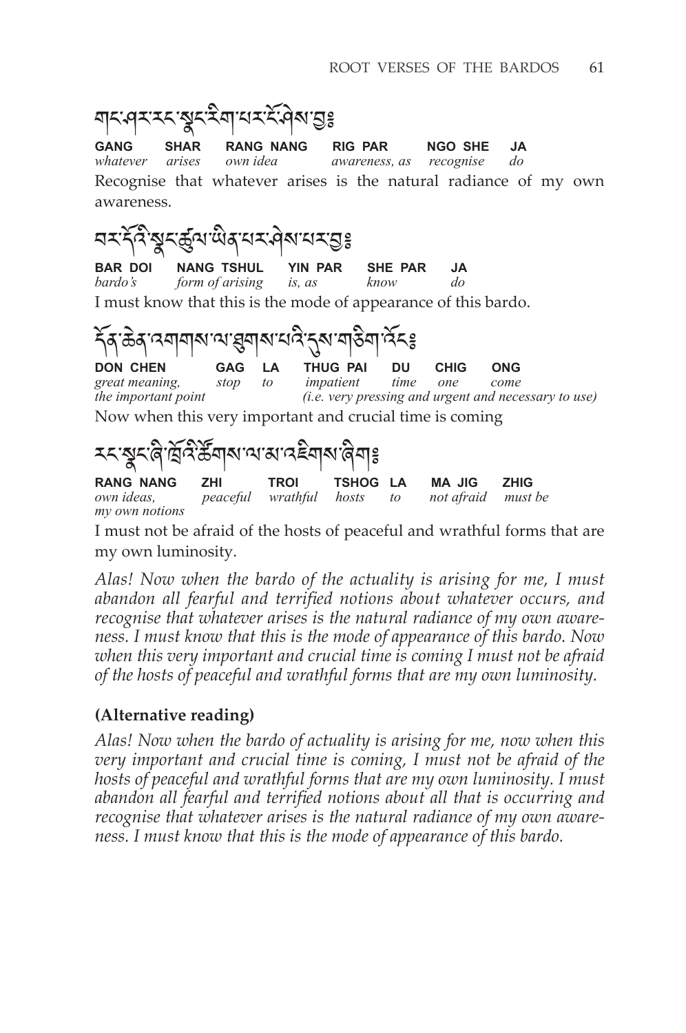

I must not be afraid of the hosts of peaceful and wrathful forms that are my own luminosity.

*Alas! Now when the bardo of the actuality is arising for me, I must abandon all fearful and terrified notions about whatever occurs, and recognise that whatever arises is the natural radiance of my own awareness. I must know that this is the mode of appearance of this bardo. Now when this very important and crucial time is coming I must not be afraid of the hosts of peaceful and wrathful forms that are my own luminosity.*

## **(Alternative reading)**

*Alas! Now when the bardo of actuality is arising for me, now when this very important and crucial time is coming, I must not be afraid of the hosts of peaceful and wrathful forms that are my own luminosity. I must abandon all fearful and terrified notions about all that is occurring and recognise that whatever arises is the natural radiance of my own awareness. I must know that this is the mode of appearance of this bardo.*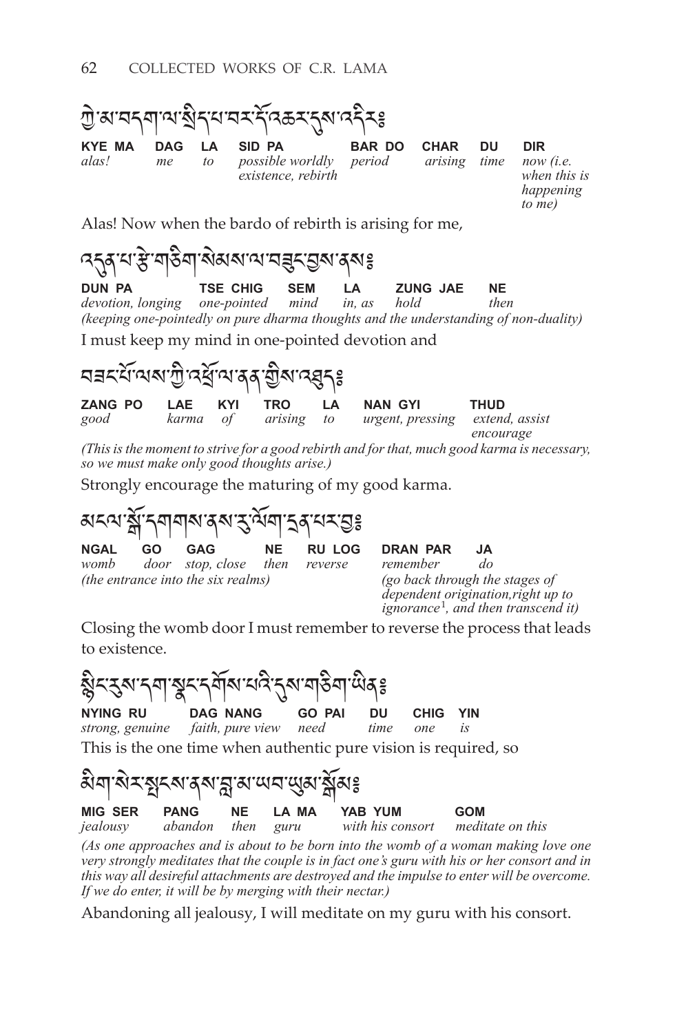

Alas! Now when the bardo of rebirth is arising for me,

འདུན་པ་རྩེ་གཅིག་སེམས་ལ་བཟུང་བྱས་ནས༔ **TSE CHIG SEM LA ZUNG JAE NE**<br>
one-pointed mind in, as hold then *devotion, longing (keeping one-pointedly on pure dharma thoughts and the understanding of non-duality)*

I must keep my mind in one-pointed devotion and

ঘ∃ন্য অম শূ দ্ধ অ'ৰ্ব্ শ্ৰুম দ্ধ্বীঃ **zang PO LAE KYI TRO LA NAN GYI THUD**<br>good karma of arising to urgent, pressing extend *good karma of arising to urgent, pressing extend, assist encourage (This is the moment to strive for a good rebirth and for that, much good karma is necessary,* 

*so we must make only good thoughts arise.)* Strongly encourage the maturing of my good karma.

<u>য়ৼ৾৾য়ৼৢয়৾ৼয়য়য়৾য়ৼ৻৸৸৸ৼ৻৸৸৸ৼ৻</u> **NGAL GO GAG NE RULOG DRAN PAR JA**<br>womb door stop,close then reverse remember do door stop, close then reverse remember *(the entrance into the six realms) (go back through the stages of*

*dependent origination,right up to ignorance*<sup>1</sup> *, and then transcend it)*

Closing the womb door I must remember to reverse the process that leads to existence.

ଷ୍ଟି<sup>2</sup>୍ୟ ବ୍ୟାକ୍ଷ୍ଟ୍ର୍ୟ୍ୟ କରି ।<br>ଏହା ଏକ ବାର୍ଯ୍ୟ ବିଶ୍ୱା ସେ ନାମ୍ବା ଦେବ ।<br>ବାର୍ଯ୍ୟ ବିଶ୍ୱା କରି । **NYING RU DAG NANG GO PAI DU CHIG YIN**<br>*strong, genuine faith, pure view need time one is strong, genuine faith, pure view need time one is* This is the one time when authentic pure vision is required, so



*(As one approaches and is about to be born into the womb of a woman making love one very strongly meditates that the couple is in fact one's guru with his or her consort and in this way all desireful attachments are destroyed and the impulse to enter will be overcome. If we do enter, it will be by merging with their nectar.)*

Abandoning all jealousy, I will meditate on my guru with his consort.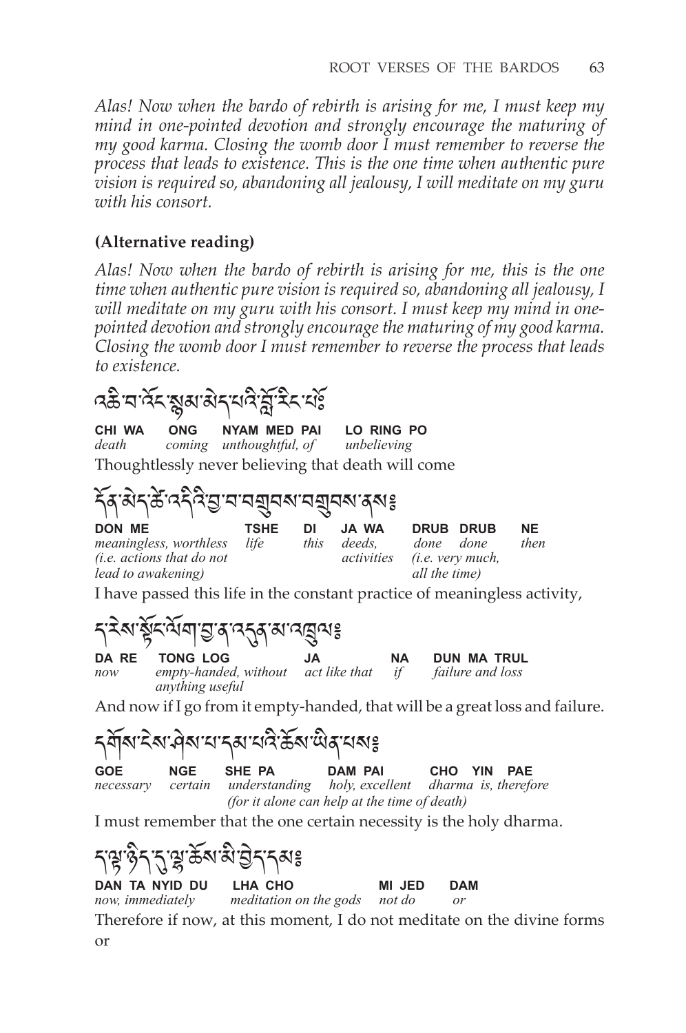*Alas! Now when the bardo of rebirth is arising for me, I must keep my mind in one-pointed devotion and strongly encourage the maturing of my good karma. Closing the womb door I must remember to reverse the process that leads to existence. This is the one time when authentic pure vision is required so, abandoning all jealousy, I will meditate on my guru with his consort.* 

### **(Alternative reading)**

*Alas! Now when the bardo of rebirth is arising for me, this is the one time when authentic pure vision is required so, abandoning all jealousy, I will meditate on my guru with his consort. I must keep my mind in onepointed devotion and strongly encourage the maturing of my good karma. Closing the womb door I must remember to reverse the process that leads to existence.*

འཆི་བ་འོང་སྙམ་མེད་པའི་བློ་རིང་པཿོ

 *anything useful*

**CHI WA ONG NYAM MED PAI LO RING PO** death coming unthoughtful, of unbelieving *coming unthoughtful, of* Thoughtlessly never believing that death will come

དོན་མེད་ཚེ་འདིའི་བྱ་བ་བགྲུབས་བགྲུབས་ནས༔

| <b>DON ME</b>                 | <b>TSHE</b> | DI   | JA WA  | DRUB DRUB                          | <b>NE</b> |
|-------------------------------|-------------|------|--------|------------------------------------|-----------|
| <i>meaningless, worthless</i> | life        | this | deeds. | done done                          | then      |
| (i.e. actions that do not     |             |      |        | <i>activities (i.e. very much,</i> |           |
| lead to awakening)            |             |      |        | all the time)                      |           |

I have passed this life in the constant practice of meaningless activity,



And now if I go from it empty-handed, that will be a great loss and failure.

<sub>ମ</sub>ସ୍ଥିଷ: ଏକ୍ସାସ୍ଥ୍ୟ ଅବି ଅବି ଅବି ଅବି ।<br>The set of the party of the palm pair **GOE NGE SHE PA DAM PAI CHO YIN PAE** *necessary certain understanding holy, excellent dharma is, therefore nderstanding holy, excellent (for it alone can help at the time of death)*

I must remember that the one certain necessity is the holy dharma.

ད་ལྟ་ཉིད་དུ་ལྷ་ཆོས་མི་བྱེད་དམ༔ **DAN TA NYID DU** LHA CHO **MI JED DAM**<br>now, immediately meditation on the gods not do or *nomiation on the gods not do or* 

Therefore if now, at this moment, I do not meditate on the divine forms or